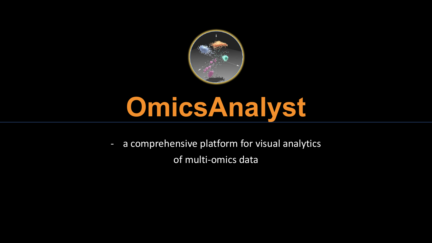

# **OmicsAnalyst**

- a comprehensive platform for visual analytics of multi-omics data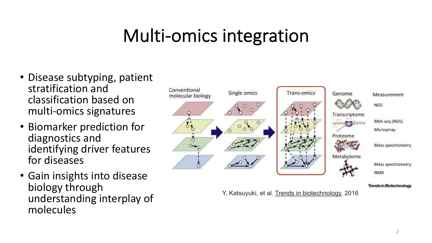#### Multi-omics integration

- Disease subtyping, patient stratification and classification based on multi-omics signatures
- Biomarker prediction for diagnostics and identifying driver features for diseases
- Gain insights into disease biology through understanding interplay of molecules



Y, Katsuyuki, et al. Trends in biotechnology, 2016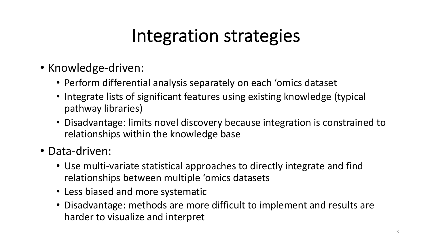#### Integration strategies

- Knowledge-driven:
	- Perform differential analysis separately on each 'omics dataset
	- Integrate lists of significant features using existing knowledge (typical pathway libraries)
	- Disadvantage: limits novel discovery because integration is constrained to relationships within the knowledge base
- Data-driven:
	- Use multi-variate statistical approaches to directly integrate and find relationships between multiple 'omics datasets
	- Less biased and more systematic
	- Disadvantage: methods are more difficult to implement and results are harder to visualize and interpret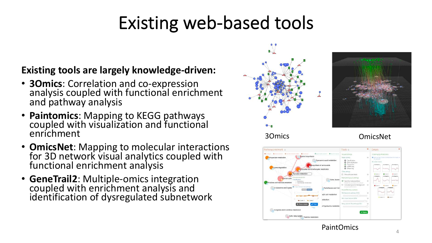### Existing web-based tools

#### **Existing tools are largely knowledge-driven:**

- **3Omics**: Correlation and co-expression analysis coupled with functional enrichment and pathway analysis
- **Paintomics**: Mapping to KEGG pathways coupled with visualization and functional enrichment
- **OmicsNet**: Mapping to molecular interactions for 3D network visual analytics coupled with functional enrichment analysis
- **GeneTrail2**: Multiple-omics integration coupled with enrichment analysis and identification of dysregulated subnetwork







**PaintOmics**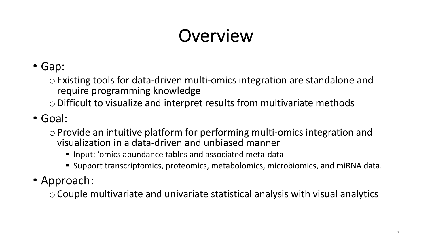# Overview

• Gap:

o Existing tools for data-driven multi-omics integration are standalone and require programming knowledge

- $\circ$  Difficult to visualize and interpret results from multivariate methods
- Goal:
	- o Provide an intuitive platform for performing multi-omics integration and visualization in a data-driven and unbiased manner
		- Input: 'omics abundance tables and associated meta-data
		- Support transcriptomics, proteomics, metabolomics, microbiomics, and miRNA data.
- Approach:

o Couple multivariate and univariate statistical analysis with visual analytics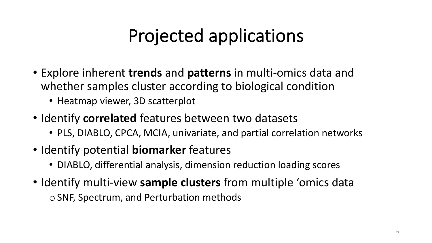## Projected applications

- Explore inherent **trends** and **patterns** in multi-omics data and whether samples cluster according to biological condition
	- Heatmap viewer, 3D scatterplot
- Identify **correlated** features between two datasets
	- PLS, DIABLO, CPCA, MCIA, univariate, and partial correlation networks
- Identify potential **biomarker** features
	- DIABLO, differential analysis, dimension reduction loading scores
- Identify multi-view **sample clusters** from multiple 'omics data o SNF, Spectrum, and Perturbation methods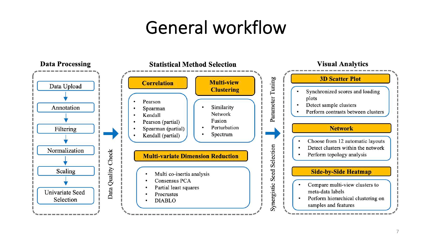#### General workflow

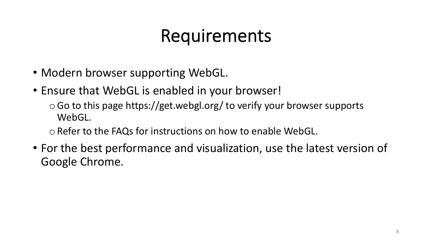#### Requirements

- Modern browser supporting WebGL.
- Ensure that WebGL is enabled in your browser!
	- $\circ$  Go to this page https://get.webgl.org/ to verify your browser supports WebGL.
	- o Refer to the FAQs for instructions on how to enable WebGL.
- For the best performance and visualization, use the latest version of Google Chrome.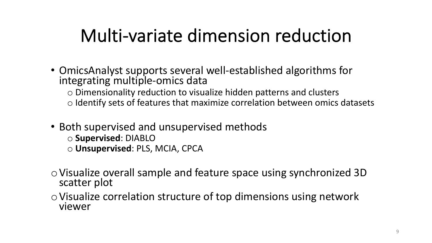#### Multi-variate dimension reduction

- OmicsAnalyst supports several well-established algorithms for integrating multiple-omics data
	- o Dimensionality reduction to visualize hidden patterns and clusters
	- o Identify sets of features that maximize correlation between omics datasets
- Both supervised and unsupervised methods
	- o **Supervised**: DIABLO
	- o **Unsupervised**: PLS, MCIA, CPCA
- oVisualize overall sample and feature space using synchronized 3D scatter plot
- oVisualize correlation structure of top dimensions using network viewer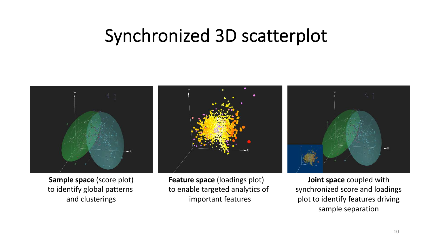#### Synchronized 3D scatterplot



**Sample space** (score plot) to identify global patterns and clusterings

**Feature space** (loadings plot) to enable targeted analytics of

important features



**Joint space** coupled with synchronized score and loadings plot to identify features driving sample separation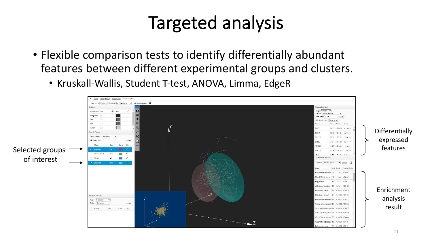#### Targeted analysis

- Flexible comparison tests to identify differentially abundant features between different experimental groups and clusters.
	- Kruskall-Wallis, Student T-test, ANOVA, Limma, EdgeR

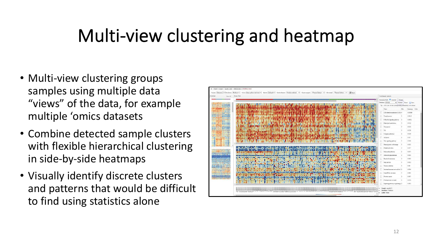#### Multi-view clustering and heatmap

- Multi-view clustering groups samples using multiple data "views" of the data, for example multiple 'omics datasets
- Combine detected sample clusters with flexible hierarchical clustering in side-by-side heatmaps
- Visually identify discrete clusters and patterns that would be difficult to find using statistics alone

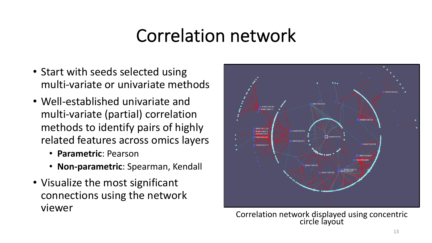#### Correlation network

- Start with seeds selected using multi-variate or univariate methods
- Well-established univariate and multi-variate (partial) correlation methods to identify pairs of highly related features across omics layers
	- **Parametric**: Pearson
	- **Non-parametric**: Spearman, Kendall
- Visualize the most significant connections using the network



viewer<br>Correlation network displayed using concentric<br>circle layout